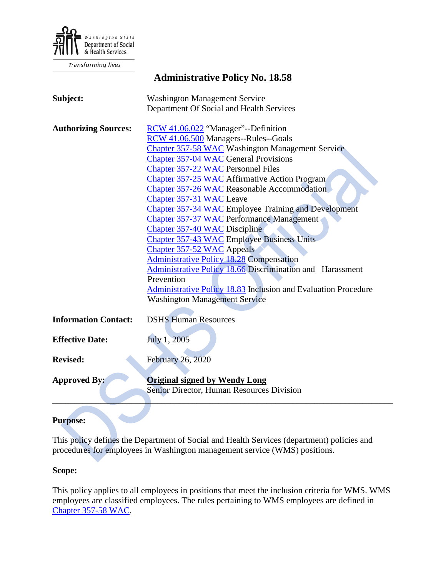

Transforming lives

# **Administrative Policy No. 18.58**

| Subject:                    | <b>Washington Management Service</b><br>Department Of Social and Health Services                                                                                                                                                                                                                                                                                                                                                                                                                                                                                                                                                                                                                                                                                                                                                        |
|-----------------------------|-----------------------------------------------------------------------------------------------------------------------------------------------------------------------------------------------------------------------------------------------------------------------------------------------------------------------------------------------------------------------------------------------------------------------------------------------------------------------------------------------------------------------------------------------------------------------------------------------------------------------------------------------------------------------------------------------------------------------------------------------------------------------------------------------------------------------------------------|
| <b>Authorizing Sources:</b> | RCW 41.06.022 "Manager"--Definition<br>RCW 41.06.500 Managers--Rules--Goals<br><b>Chapter 357-58 WAC Washington Management Service</b><br>Chapter 357-04 WAC General Provisions<br>Chapter 357-22 WAC Personnel Files<br><b>Chapter 357-25 WAC Affirmative Action Program</b><br><b>Chapter 357-26 WAC Reasonable Accommodation</b><br>Chapter 357-31 WAC Leave<br>Chapter 357-34 WAC Employee Training and Development<br><b>Chapter 357-37 WAC Performance Management</b><br>Chapter 357-40 WAC Discipline<br>Chapter 357-43 WAC Employee Business Units<br>Chapter 357-52 WAC Appeals<br><b>Administrative Policy 18.28 Compensation</b><br>Administrative Policy 18.66 Discrimination and Harassment<br>Prevention<br><b>Administrative Policy 18.83 Inclusion and Evaluation Procedure</b><br><b>Washington Management Service</b> |
| <b>Information Contact:</b> | <b>DSHS Human Resources</b>                                                                                                                                                                                                                                                                                                                                                                                                                                                                                                                                                                                                                                                                                                                                                                                                             |
| <b>Effective Date:</b>      | July 1, 2005                                                                                                                                                                                                                                                                                                                                                                                                                                                                                                                                                                                                                                                                                                                                                                                                                            |
| <b>Revised:</b>             | February 26, 2020                                                                                                                                                                                                                                                                                                                                                                                                                                                                                                                                                                                                                                                                                                                                                                                                                       |
| <b>Approved By:</b>         | <b>Original signed by Wendy Long</b><br>Senior Director, Human Resources Division                                                                                                                                                                                                                                                                                                                                                                                                                                                                                                                                                                                                                                                                                                                                                       |

# **Purpose:**

This policy defines the Department of Social and Health Services (department) policies and procedures for employees in Washington management service (WMS) positions.

#### **Scope:**

This policy applies to all employees in positions that meet the inclusion criteria for WMS. WMS employees are classified employees. The rules pertaining to WMS employees are defined in [Chapter 357-58 WAC.](http://apps.leg.wa.gov/WAC/default.aspx?cite=357-58)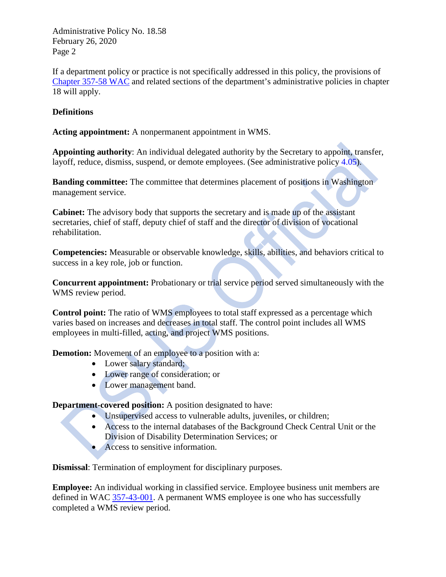If a department policy or practice is not specifically addressed in this policy, the provisions of [Chapter 357-58 WAC](https://apps.leg.wa.gov/wac/default.aspx?cite=357-58) and related sections of the department's administrative policies in chapter 18 will apply.

# **Definitions**

**Acting appointment:** A nonpermanent appointment in WMS.

**Appointing authority**: An individual delegated authority by the Secretary to appoint, transfer, layoff, reduce, dismiss, suspend, or demote employees. (See administrative policy [4.05\)](http://asd.dshs.wa.gov/RPAU/documents/Admin-Policy/04-05.htm).

**Banding committee:** The committee that determines placement of positions in Washington management service.

**Cabinet:** The advisory body that supports the secretary and is made up of the assistant secretaries, chief of staff, deputy chief of staff and the director of division of vocational rehabilitation.

**Competencies:** Measurable or observable knowledge, skills, abilities, and behaviors critical to success in a key role, job or function.

**Concurrent appointment:** Probationary or trial service period served simultaneously with the WMS review period.

**Control point:** The ratio of WMS employees to total staff expressed as a percentage which varies based on increases and decreases in total staff. The control point includes all WMS employees in multi-filled, acting, and project WMS positions.

**Demotion:** Movement of an employee to a position with a:

- Lower salary standard;
- Lower range of consideration; or
- Lower management band.

**Department-covered position:** A position designated to have:

- Unsupervised access to vulnerable adults, juveniles, or children;
- Access to the internal databases of the Background Check Central Unit or the Division of Disability Determination Services; or
- Access to sensitive information.

**Dismissal**: Termination of employment for disciplinary purposes.

**Employee:** An individual working in classified service. Employee business unit members are defined in WAC [357-43-001.](http://apps.leg.wa.gov/wac/default.aspx?cite=357-43-001) A permanent WMS employee is one who has successfully completed a WMS review period.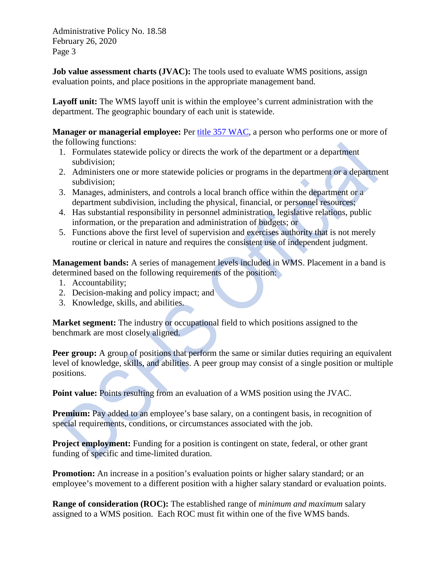**Job value assessment charts (JVAC):** The tools used to evaluate WMS positions, assign evaluation points, and place positions in the appropriate management band.

**Layoff unit:** The WMS layoff unit is within the employee's current administration with the department. The geographic boundary of each unit is statewide.

**Manager or managerial employee:** Per [title 357 WAC,](https://apps.leg.wa.gov/wac/default.aspx?cite=357) a person who performs one or more of the following functions:

- 1. Formulates statewide policy or directs the work of the department or a department subdivision;
- 2. Administers one or more statewide policies or programs in the department or a department subdivision;
- 3. Manages, administers, and controls a local branch office within the department or a department subdivision, including the physical, financial, or personnel resources;
- 4. Has substantial responsibility in personnel administration, legislative relations, public information, or the preparation and administration of budgets; or
- 5. Functions above the first level of supervision and exercises authority that is not merely routine or clerical in nature and requires the consistent use of independent judgment.

**Management bands:** A series of management levels included in WMS. Placement in a band is determined based on the following requirements of the position:

- 1. Accountability;
- 2. Decision-making and policy impact; and
- 3. Knowledge, skills, and abilities.

**Market segment:** The industry or occupational field to which positions assigned to the benchmark are most closely aligned.

**Peer group:** A group of positions that perform the same or similar duties requiring an equivalent level of knowledge, skills, and abilities. A peer group may consist of a single position or multiple positions.

**Point value:** Points resulting from an evaluation of a WMS position using the JVAC.

**Premium:** Pay added to an employee's base salary, on a contingent basis, in recognition of special requirements, conditions, or circumstances associated with the job.

**Project employment:** Funding for a position is contingent on state, federal, or other grant funding of specific and time-limited duration.

**Promotion:** An increase in a position's evaluation points or higher salary standard; or an employee's movement to a different position with a higher salary standard or evaluation points.

**Range of consideration (ROC):** The established range of *minimum and maximum* salary assigned to a WMS position. Each ROC must fit within one of the five WMS bands.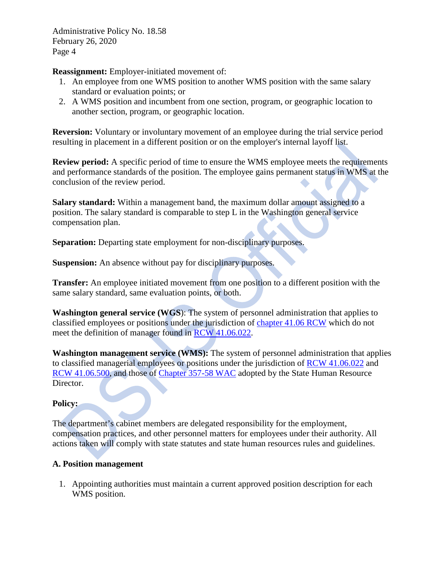**Reassignment:** Employer-initiated movement of:

- 1. An employee from one WMS position to another WMS position with the same salary standard or evaluation points; or
- 2. A WMS position and incumbent from one section, program, or geographic location to another section, program, or geographic location.

**Reversion:** Voluntary or involuntary movement of an employee during the trial service period resulting in placement in a different position or on the employer's internal layoff list.

**Review period:** A specific period of time to ensure the WMS employee meets the requirements and performance standards of the position. The employee gains permanent status in WMS at the conclusion of the review period.

**Salary standard:** Within a management band, the maximum dollar amount assigned to a position. The salary standard is comparable to step L in the Washington general service compensation plan.

**Separation:** Departing state employment for non-disciplinary purposes.

**Suspension:** An absence without pay for disciplinary purposes.

**Transfer:** An employee initiated movement from one position to a different position with the same salary standard, same evaluation points, or both.

**Washington general service (WGS**): The system of personnel administration that applies to classified employees or positions under the jurisdiction of [chapter 41.06 RCW](https://apps.leg.wa.gov/rcw/default.aspx?cite=41.06) which do not meet the definition of manager found in [RCW 41.06.022.](https://app.leg.wa.gov/RCW/default.aspx?cite=41.06.022)

**Washington management service (WMS):** The system of personnel administration that applies to classified managerial employees or positions under the jurisdiction of [RCW 41.06.022](https://app.leg.wa.gov/RCW/default.aspx?cite=41.06.022) and [RCW 41.06.500,](https://app.leg.wa.gov/RCW/default.aspx?cite=41.06.500) and those of [Chapter 357-58 WAC](https://apps.leg.wa.gov/wac/default.aspx?cite=357-58) adopted by the State Human Resource Director.

# **Policy:**

The department's cabinet members are delegated responsibility for the employment, compensation practices, and other personnel matters for employees under their authority. All actions taken will comply with state statutes and state human resources rules and guidelines.

# **A. Position management**

1. Appointing authorities must maintain a current approved position description for each WMS position.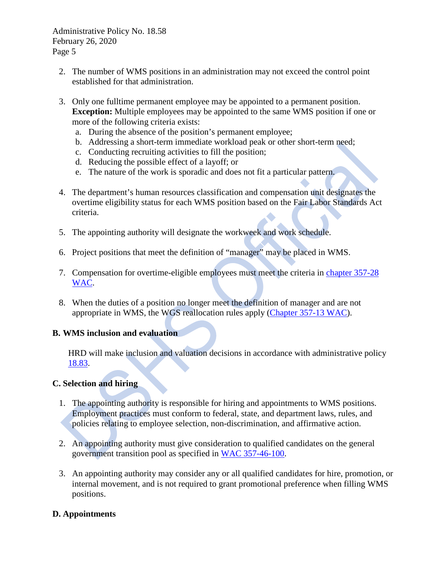- 2. The number of WMS positions in an administration may not exceed the control point established for that administration.
- 3. Only one fulltime permanent employee may be appointed to a permanent position. **Exception:** Multiple employees may be appointed to the same WMS position if one or more of the following criteria exists:
	- a. During the absence of the position's permanent employee;
	- b. Addressing a short-term immediate workload peak or other short-term need;
	- c. Conducting recruiting activities to fill the position;
	- d. Reducing the possible effect of a layoff; or
	- e. The nature of the work is sporadic and does not fit a particular pattern.
- 4. The department's human resources classification and compensation unit designates the overtime eligibility status for each WMS position based on the Fair Labor Standards Act criteria.
- 5. The appointing authority will designate the workweek and work schedule.
- 6. Project positions that meet the definition of "manager" may be placed in WMS.
- 7. Compensation for overtime-eligible employees must meet the criteria in [chapter 357-28](https://apps.leg.wa.gov/WAC/default.aspx?cite=357-28)  [WAC.](https://apps.leg.wa.gov/WAC/default.aspx?cite=357-28)
- 8. When the duties of a position no longer meet the definition of manager and are not appropriate in WMS, the WGS reallocation rules apply [\(Chapter 357-13 WAC\)](http://apps.leg.wa.gov/WAC/default.aspx?cite=357-13).

#### **B. WMS inclusion and evaluation**

HRD will make inclusion and valuation decisions in accordance with administrative policy [18.83.](http://one.dshs.wa.lcl/Policies/Administrative/DSHS-AP-18-83.pdf)

#### **C. Selection and hiring**

- 1. The appointing authority is responsible for hiring and appointments to WMS positions. Employment practices must conform to federal, state, and department laws, rules, and policies relating to employee selection, non-discrimination, and affirmative action.
- 2. An appointing authority must give consideration to qualified candidates on the general government transition pool as specified in [WAC 357-46-100.](http://apps.leg.wa.gov/WAC/default.aspx?cite=357-46-100)
- 3. An appointing authority may consider any or all qualified candidates for hire, promotion, or internal movement, and is not required to grant promotional preference when filling WMS positions.

#### **D. Appointments**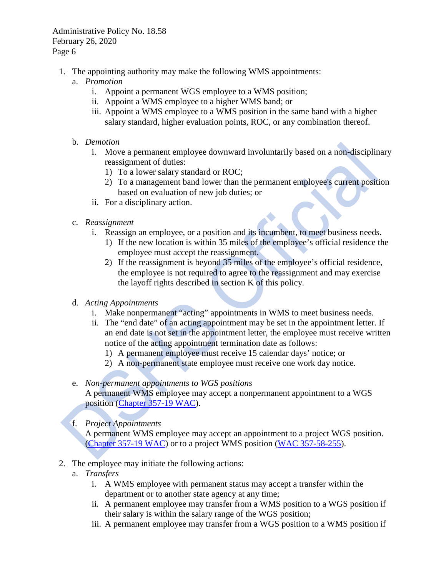- 1. The appointing authority may make the following WMS appointments:
	- a. *Promotion* 
		- i. Appoint a permanent WGS employee to a WMS position;
		- ii. Appoint a WMS employee to a higher WMS band; or
		- iii. Appoint a WMS employee to a WMS position in the same band with a higher salary standard, higher evaluation points, ROC, or any combination thereof.
	- b. *Demotion* 
		- i. Move a permanent employee downward involuntarily based on a non-disciplinary reassignment of duties:
			- 1) To a lower salary standard or ROC;
			- 2) To a management band lower than the permanent employee's current position based on evaluation of new job duties; or
		- ii. For a disciplinary action.
	- c. *Reassignment* 
		- i. Reassign an employee, or a position and its incumbent, to meet business needs.
			- 1) If the new location is within 35 miles of the employee's official residence the employee must accept the reassignment.
			- 2) If the reassignment is beyond 35 miles of the employee's official residence, the employee is not required to agree to the reassignment and may exercise the layoff rights described in section K of this policy.
	- d. *Acting Appointments*
		- i. Make nonpermanent "acting" appointments in WMS to meet business needs.
		- ii. The "end date" of an acting appointment may be set in the appointment letter. If an end date is not set in the appointment letter, the employee must receive written notice of the acting appointment termination date as follows:
			- 1) A permanent employee must receive 15 calendar days' notice; or
			- 2) A non-permanent state employee must receive one work day notice.
	- e. *Non-permanent appointments to WGS positions* A permanent WMS employee may accept a nonpermanent appointment to a WGS position [\(Chapter 357-19 WAC\)](http://apps.leg.wa.gov/WAC/default.aspx?cite=357-19).
	- f. *Project Appointments*

A permanent WMS employee may accept an appointment to a project WGS position. [\(Chapter 357-19 WAC\)](http://apps.leg.wa.gov/WAC/default.aspx?cite=357-19) or to a project WMS position [\(WAC 357-58-255\)](http://apps.leg.wa.gov/WAC/default.aspx?cite=357-58-255).

- 2. The employee may initiate the following actions:
	- a. *Transfers* 
		- i. A WMS employee with permanent status may accept a transfer within the department or to another state agency at any time;
		- ii. A permanent employee may transfer from a WMS position to a WGS position if their salary is within the salary range of the WGS position;
		- iii. A permanent employee may transfer from a WGS position to a WMS position if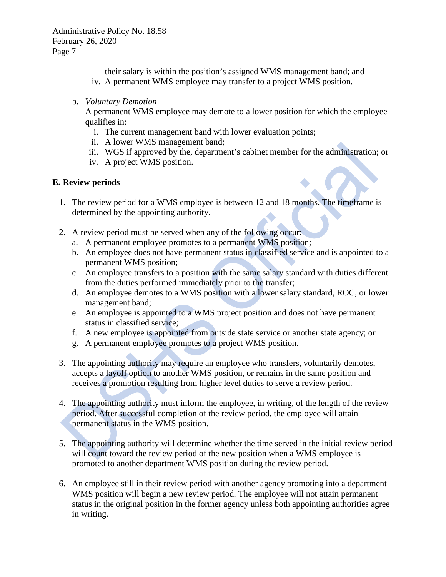their salary is within the position's assigned WMS management band; and iv. A permanent WMS employee may transfer to a project WMS position.

#### b. *Voluntary Demotion*

A permanent WMS employee may demote to a lower position for which the employee qualifies in:

- i. The current management band with lower evaluation points;
- ii. A lower WMS management band;
- iii. WGS if approved by the, department's cabinet member for the administration; or
- iv. A project WMS position.

#### **E. Review periods**

- 1. The review period for a WMS employee is between 12 and 18 months. The timeframe is determined by the appointing authority.
- 2. A review period must be served when any of the following occur:
	- a. A permanent employee promotes to a permanent WMS position;
	- b. An employee does not have permanent status in classified service and is appointed to a permanent WMS position;
	- c. An employee transfers to a position with the same salary standard with duties different from the duties performed immediately prior to the transfer;
	- d. An employee demotes to a WMS position with a lower salary standard, ROC, or lower management band;
	- e. An employee is appointed to a WMS project position and does not have permanent status in classified service;
	- f. A new employee is appointed from outside state service or another state agency; or
	- g. A permanent employee promotes to a project WMS position.
- 3. The appointing authority may require an employee who transfers, voluntarily demotes, accepts a layoff option to another WMS position, or remains in the same position and receives a promotion resulting from higher level duties to serve a review period.
- 4. The appointing authority must inform the employee, in writing, of the length of the review period. After successful completion of the review period, the employee will attain permanent status in the WMS position.
- 5. The appointing authority will determine whether the time served in the initial review period will count toward the review period of the new position when a WMS employee is promoted to another department WMS position during the review period.
- 6. An employee still in their review period with another agency promoting into a department WMS position will begin a new review period. The employee will not attain permanent status in the original position in the former agency unless both appointing authorities agree in writing.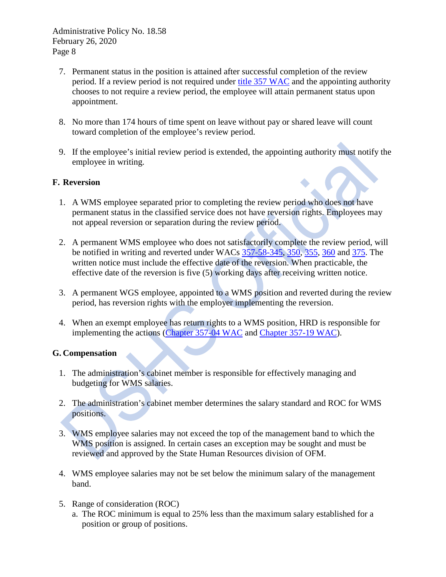- 7. Permanent status in the position is attained after successful completion of the review period. If a review period is not required under [title 357 WAC](https://apps.leg.wa.gov/WAC/default.aspx?cite=357) and the appointing authority chooses to not require a review period, the employee will attain permanent status upon appointment.
- 8. No more than 174 hours of time spent on leave without pay or shared leave will count toward completion of the employee's review period.
- 9. If the employee's initial review period is extended, the appointing authority must notify the employee in writing.

# **F. Reversion**

- 1. A WMS employee separated prior to completing the review period who does not have permanent status in the classified service does not have reversion rights. Employees may not appeal reversion or separation during the review period.
- 2. A permanent WMS employee who does not satisfactorily complete the review period, will be notified in writing and reverted under WACs [357-58-345,](http://apps.leg.wa.gov/WAC/default.aspx?cite=357-58-345) [350,](http://apps.leg.wa.gov/WAC/default.aspx?cite=357-58-350) [355,](http://apps.leg.wa.gov/WAC/default.aspx?cite=357-58-355) [360](http://apps.leg.wa.gov/WAC/default.aspx?cite=357-58-360) and [375.](http://apps.leg.wa.gov/WAC/default.aspx?cite=357-58-375) The written notice must include the effective date of the reversion. When practicable, the effective date of the reversion is five (5) working days after receiving written notice.
- 3. A permanent WGS employee, appointed to a WMS position and reverted during the review period, has reversion rights with the employer implementing the reversion.
- 4. When an exempt employee has return rights to a WMS position, HRD is responsible for implementing the actions [\(Chapter 357-04 WAC](http://apps.leg.wa.gov/WAC/default.aspx?cite=357-04) and [Chapter 357-19 WAC\)](http://apps.leg.wa.gov/WAC/default.aspx?cite=357-19).

# **G. Compensation**

 $\overline{\phantom{a}}$ 

- 1. The administration's cabinet member is responsible for effectively managing and budgeting for WMS salaries.
- 2. The administration's cabinet member determines the salary standard and ROC for WMS positions.
- 3. WMS employee salaries may not exceed the top of the management band to which the WMS position is assigned. In certain cases an exception may be sought and must be reviewed and approved by the State Human Resources division of OFM.
- 4. WMS employee salaries may not be set below the minimum salary of the management band.
- 5. Range of consideration (ROC)
	- a. The ROC minimum is equal to 25% less than the maximum salary established for a position or group of positions.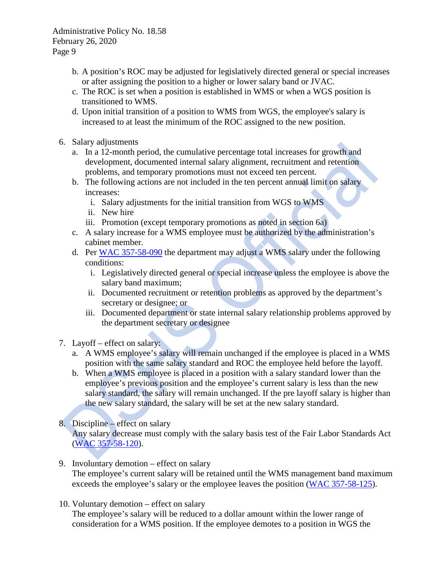- b. A position's ROC may be adjusted for legislatively directed general or special increases or after assigning the position to a higher or lower salary band or JVAC.
- c. The ROC is set when a position is established in WMS or when a WGS position is transitioned to WMS.
- d. Upon initial transition of a position to WMS from WGS, the employee's salary is increased to at least the minimum of the ROC assigned to the new position.
- 6. Salary adjustments
	- a. In a 12-month period, the cumulative percentage total increases for growth and development, documented internal salary alignment, recruitment and retention problems, and temporary promotions must not exceed ten percent.
	- b. The following actions are not included in the ten percent annual limit on salary increases:
		- i. Salary adjustments for the initial transition from WGS to WMS
		- ii. New hire
		- iii. Promotion (except temporary promotions as noted in section 6a)
	- c. A salary increase for a WMS employee must be authorized by the administration's cabinet member.
	- d. Per [WAC 357-58-090](https://apps.leg.wa.gov/WAC/default.aspx?cite=357-58-090) the department may adjust a WMS salary under the following conditions:
		- i. Legislatively directed general or special increase unless the employee is above the salary band maximum;
		- ii. Documented recruitment or retention problems as approved by the department's secretary or designee; or
		- iii. Documented department or state internal salary relationship problems approved by the department secretary or designee
- 7. Layoff effect on salary:
	- a. A WMS employee's salary will remain unchanged if the employee is placed in a WMS position with the same salary standard and ROC the employee held before the layoff.
	- b. When a WMS employee is placed in a position with a salary standard lower than the employee's previous position and the employee's current salary is less than the new salary standard, the salary will remain unchanged. If the pre layoff salary is higher than the new salary standard, the salary will be set at the new salary standard.
- 8. Discipline effect on salary Any salary decrease must comply with the salary basis test of the Fair Labor Standards Act [\(WAC 357-58-120\)](http://apps.leg.wa.gov/WAC/default.aspx?cite=357-58-120).
- 9. Involuntary demotion effect on salary The employee's current salary will be retained until the WMS management band maximum exceeds the employee's salary or the employee leaves the position [\(WAC 357-58-125\)](http://apps.leg.wa.gov/WAC/default.aspx?cite=357-58-125).
- 10. Voluntary demotion effect on salary The employee's salary will be reduced to a dollar amount within the lower range of consideration for a WMS position. If the employee demotes to a position in WGS the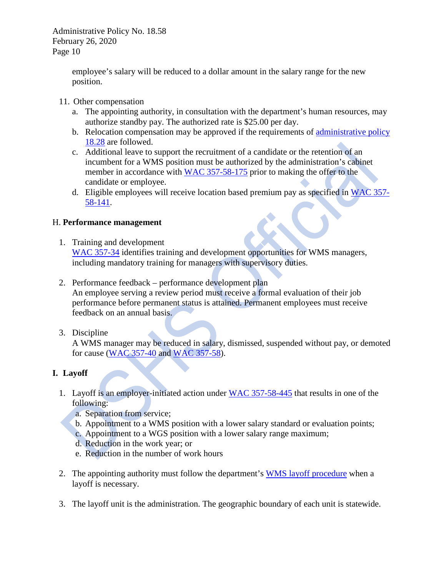> employee's salary will be reduced to a dollar amount in the salary range for the new position.

- 11. Other compensation
	- a. The appointing authority, in consultation with the department's human resources, may authorize standby pay. The authorized rate is \$25.00 per day.
	- b. Relocation compensation may be approved if the requirements of [administrative policy](http://one.dshs.wa.lcl/Policies/Administrative/DSHS-AP-18-28.pdf)  [18.28](http://one.dshs.wa.lcl/Policies/Administrative/DSHS-AP-18-28.pdf) are followed.
	- c. Additional leave to support the recruitment of a candidate or the retention of an incumbent for a WMS position must be authorized by the administration's cabinet member in accordance with [WAC 357-58-175](https://apps.leg.wa.gov/wac/default.aspx?cite=357-58-175) prior to making the offer to the candidate or employee.
	- d. Eligible employees will receive location based premium pay as specified in [WAC 357-](https://apps.leg.wa.gov/wac/default.aspx?cite=357-58-141) [58-141.](https://apps.leg.wa.gov/wac/default.aspx?cite=357-58-141)

# H. **Performance management**

- 1. Training and development [WAC 357-34](http://apps.leg.wa.gov/WAC/default.aspx?cite=357-34) identifies training and development opportunities for WMS managers, including mandatory training for managers with supervisory duties.
- 2. Performance feedback performance development plan An employee serving a review period must receive a formal evaluation of their job performance before permanent status is attained. Permanent employees must receive feedback on an annual basis.
- 3. Discipline

A WMS manager may be reduced in salary, dismissed, suspended without pay, or demoted for cause [\(WAC 357-40](http://hr.wa.gov/rules/CivilServiceRules/Pages/BrowseRulesbyChapter.aspx) and [WAC 357-58\)](http://apps.leg.wa.gov/WAC/default.aspx?cite=357-58).

# **I. Layoff**

- 1. Layoff is an employer-initiated action under [WAC 357-58-445](http://apps.leg.wa.gov/WAC/default.aspx?cite=357-58-445) that results in one of the following:
	- a. Separation from service;
	- b. Appointment to a WMS position with a lower salary standard or evaluation points;
	- c. Appointment to a WGS position with a lower salary range maximum;
	- d. Reduction in the work year; or
	- e. Reduction in the number of work hours
- 2. The appointing authority must follow the department's [WMS layoff procedure](http://hrd.dshs.wa.gov/Position_Management/Layoffs/WMS%20Layoff%20Process.pdf) when a layoff is necessary.
- 3. The layoff unit is the administration. The geographic boundary of each unit is statewide.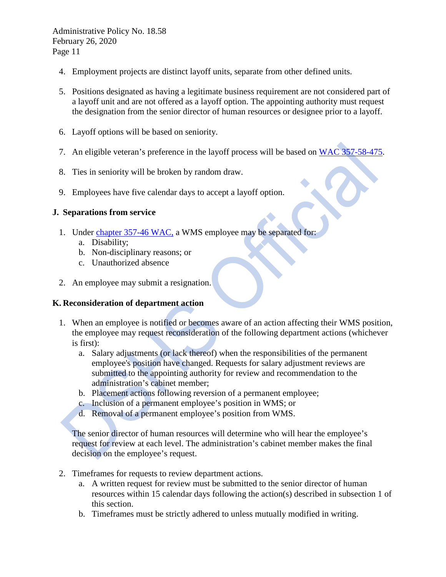- 4. Employment projects are distinct layoff units, separate from other defined units.
- 5. Positions designated as having a legitimate business requirement are not considered part of a layoff unit and are not offered as a layoff option. The appointing authority must request the designation from the senior director of human resources or designee prior to a layoff.
- 6. Layoff options will be based on seniority.
- 7. An eligible veteran's preference in the layoff process will be based on [WAC 357-58-475.](http://apps.leg.wa.gov/WAC/default.aspx?cite=357-58-475)
- 8. Ties in seniority will be broken by random draw.
- 9. Employees have five calendar days to accept a layoff option.

#### **J. Separations from service**

- 1. Under [chapter 357-46 WAC,](http://apps.leg.wa.gov/WAC/default.aspx?cite=357-46) a WMS employee may be separated for:
	- a. Disability;
	- b. Non-disciplinary reasons; or
	- c. Unauthorized absence
- 2. An employee may submit a resignation.

#### **K. Reconsideration of department action**

- 1. When an employee is notified or becomes aware of an action affecting their WMS position, the employee may request reconsideration of the following department actions (whichever is first):
	- a. Salary adjustments (or lack thereof) when the responsibilities of the permanent employee's position have changed. Requests for salary adjustment reviews are submitted to the appointing authority for review and recommendation to the administration's cabinet member;
	- b. Placement actions following reversion of a permanent employee;
	- c. Inclusion of a permanent employee's position in WMS; or
	- d. Removal of a permanent employee's position from WMS.

The senior director of human resources will determine who will hear the employee's request for review at each level. The administration's cabinet member makes the final decision on the employee's request.

- 2. Timeframes for requests to review department actions.
	- a. A written request for review must be submitted to the senior director of human resources within 15 calendar days following the action(s) described in subsection 1 of this section.
	- b. Timeframes must be strictly adhered to unless mutually modified in writing.